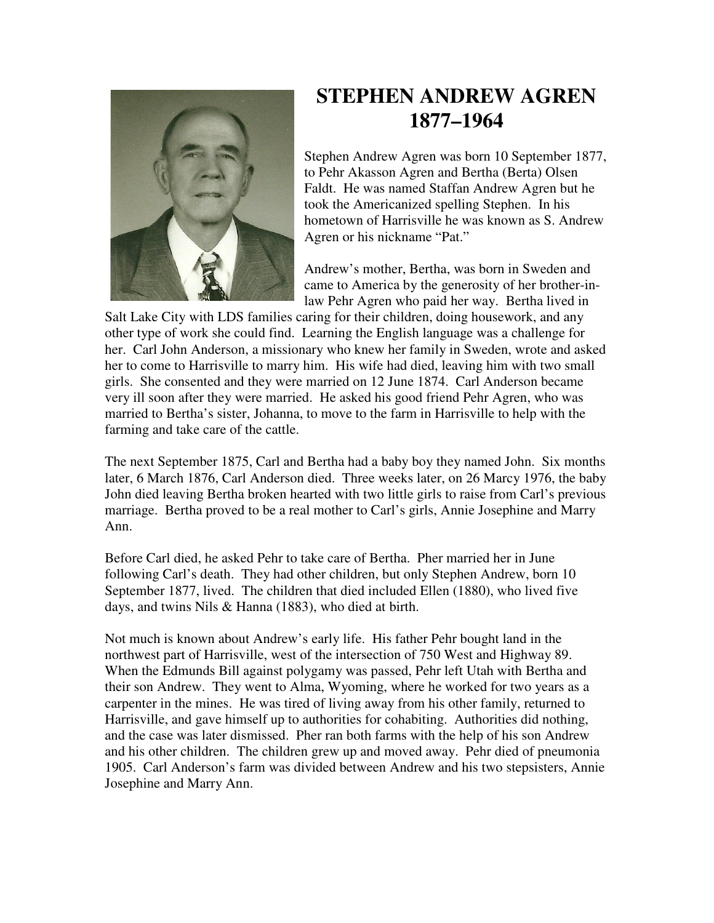

## **STEPHEN ANDREW AGREN 1877–1964**

Stephen Andrew Agren was born 10 September 1877, to Pehr Akasson Agren and Bertha (Berta) Olsen Faldt. He was named Staffan Andrew Agren but he took the Americanized spelling Stephen. In his hometown of Harrisville he was known as S. Andrew Agren or his nickname "Pat."

Andrew's mother, Bertha, was born in Sweden and came to America by the generosity of her brother-inlaw Pehr Agren who paid her way. Bertha lived in

Salt Lake City with LDS families caring for their children, doing housework, and any other type of work she could find. Learning the English language was a challenge for her. Carl John Anderson, a missionary who knew her family in Sweden, wrote and asked her to come to Harrisville to marry him. His wife had died, leaving him with two small girls. She consented and they were married on 12 June 1874. Carl Anderson became very ill soon after they were married. He asked his good friend Pehr Agren, who was married to Bertha's sister, Johanna, to move to the farm in Harrisville to help with the farming and take care of the cattle.

The next September 1875, Carl and Bertha had a baby boy they named John. Six months later, 6 March 1876, Carl Anderson died. Three weeks later, on 26 Marcy 1976, the baby John died leaving Bertha broken hearted with two little girls to raise from Carl's previous marriage. Bertha proved to be a real mother to Carl's girls, Annie Josephine and Marry Ann.

Before Carl died, he asked Pehr to take care of Bertha. Pher married her in June following Carl's death. They had other children, but only Stephen Andrew, born 10 September 1877, lived. The children that died included Ellen (1880), who lived five days, and twins Nils & Hanna (1883), who died at birth.

Not much is known about Andrew's early life. His father Pehr bought land in the northwest part of Harrisville, west of the intersection of 750 West and Highway 89. When the Edmunds Bill against polygamy was passed, Pehr left Utah with Bertha and their son Andrew. They went to Alma, Wyoming, where he worked for two years as a carpenter in the mines. He was tired of living away from his other family, returned to Harrisville, and gave himself up to authorities for cohabiting. Authorities did nothing, and the case was later dismissed. Pher ran both farms with the help of his son Andrew and his other children. The children grew up and moved away. Pehr died of pneumonia 1905. Carl Anderson's farm was divided between Andrew and his two stepsisters, Annie Josephine and Marry Ann.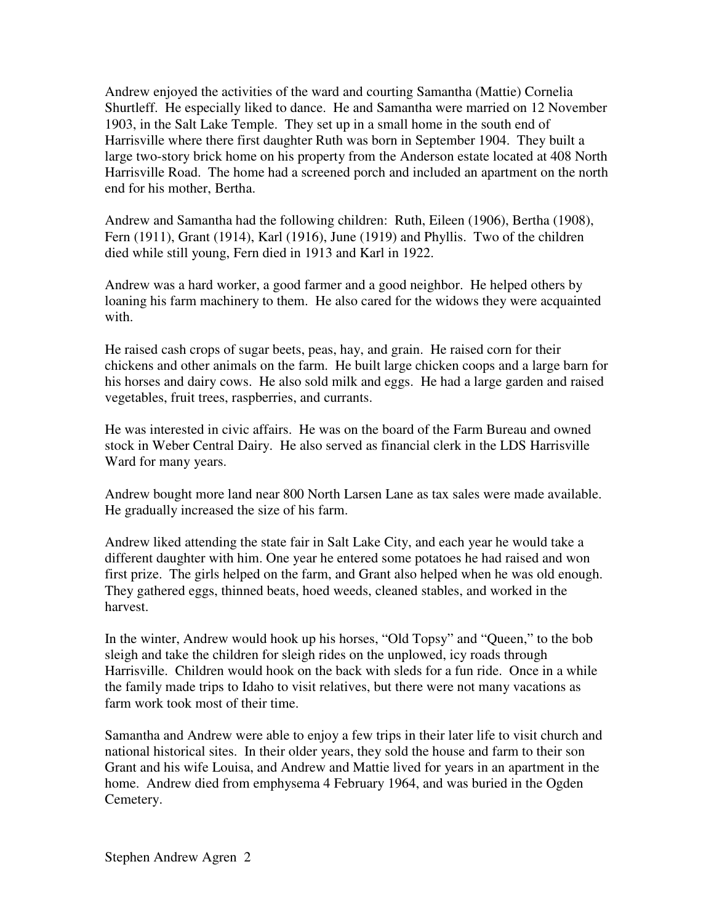Andrew enjoyed the activities of the ward and courting Samantha (Mattie) Cornelia Shurtleff. He especially liked to dance. He and Samantha were married on 12 November 1903, in the Salt Lake Temple. They set up in a small home in the south end of Harrisville where there first daughter Ruth was born in September 1904. They built a large two-story brick home on his property from the Anderson estate located at 408 North Harrisville Road. The home had a screened porch and included an apartment on the north end for his mother, Bertha.

Andrew and Samantha had the following children: Ruth, Eileen (1906), Bertha (1908), Fern (1911), Grant (1914), Karl (1916), June (1919) and Phyllis. Two of the children died while still young, Fern died in 1913 and Karl in 1922.

Andrew was a hard worker, a good farmer and a good neighbor. He helped others by loaning his farm machinery to them. He also cared for the widows they were acquainted with.

He raised cash crops of sugar beets, peas, hay, and grain. He raised corn for their chickens and other animals on the farm. He built large chicken coops and a large barn for his horses and dairy cows. He also sold milk and eggs. He had a large garden and raised vegetables, fruit trees, raspberries, and currants.

He was interested in civic affairs. He was on the board of the Farm Bureau and owned stock in Weber Central Dairy. He also served as financial clerk in the LDS Harrisville Ward for many years.

Andrew bought more land near 800 North Larsen Lane as tax sales were made available. He gradually increased the size of his farm.

Andrew liked attending the state fair in Salt Lake City, and each year he would take a different daughter with him. One year he entered some potatoes he had raised and won first prize. The girls helped on the farm, and Grant also helped when he was old enough. They gathered eggs, thinned beats, hoed weeds, cleaned stables, and worked in the harvest.

In the winter, Andrew would hook up his horses, "Old Topsy" and "Queen," to the bob sleigh and take the children for sleigh rides on the unplowed, icy roads through Harrisville. Children would hook on the back with sleds for a fun ride. Once in a while the family made trips to Idaho to visit relatives, but there were not many vacations as farm work took most of their time.

Samantha and Andrew were able to enjoy a few trips in their later life to visit church and national historical sites. In their older years, they sold the house and farm to their son Grant and his wife Louisa, and Andrew and Mattie lived for years in an apartment in the home. Andrew died from emphysema 4 February 1964, and was buried in the Ogden Cemetery.